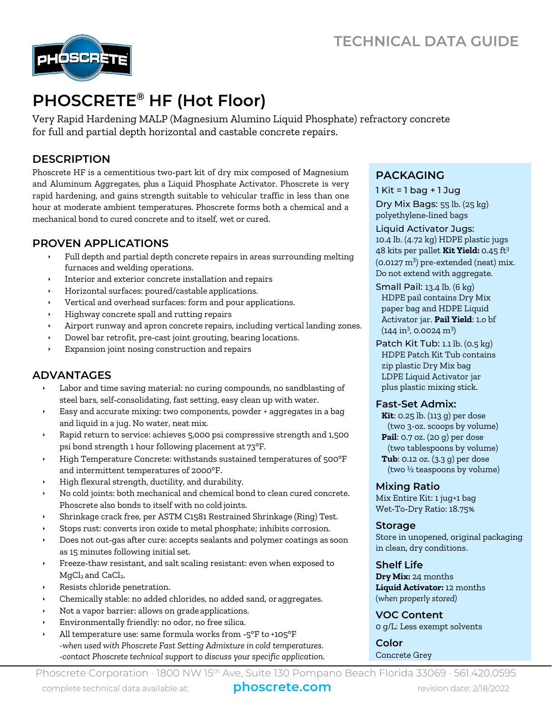

# **PHOSCRETE® HF (Hot Floor)**

Very Rapid Hardening MALP (Magnesium Alumino Liquid Phosphate) refractory concrete for full and partial depth horizontal and castable concrete repairs.

# **DESCRIPTION**

Phoscrete HF is a cementitious two‐part kit of dry mix composed of Magnesium and Aluminum Aggregates, plus a Liquid Phosphate Activator. Phoscrete is very rapid hardening, and gains strength suitable to vehicular traffic in less than one hour at moderate ambient temperatures. Phoscrete forms both a chemical and a mechanical bond to cured concrete and to itself, wet or cured.

# **PROVEN APPLICATIONS**

- Full depth and partial depth concrete repairs in areas surrounding melting furnaces and welding operations.
- Interior and exterior concrete installation and repairs
- Horizontal surfaces: poured/castable applications.
- Vertical and overhead surfaces: form and pour applications.
- Highway concrete spall and rutting repairs
- Airport runway and apron concrete repairs, including vertical landing zones.
- Dowel bar retrofit, pre‐cast joint grouting, bearing locations.
- Expansion joint nosing construction and repairs

# **ADVANTAGES**

- Labor and time saving material: no curing compounds, no sandblasting of steel bars, self‐consolidating, fast setting, easy clean up with water.
- Easy and accurate mixing: two components, powder + aggregates in a bag and liquid in a jug. No water, neat mix.
- Rapid return to service: achieves 5,000 psi compressive strength and 1,500 psi bond strength 1 hour following placement at 73°F.
- High Temperature Concrete: withstands sustained temperatures of 500°F and intermittent temperatures of 2000°F.
- High flexural strength, ductility, and durability.
- No cold joints: both mechanical and chemical bond to clean cured concrete. Phoscrete also bonds to itself with no cold joints.
- Shrinkage crack free, per ASTM C1581 Restrained Shrinkage (Ring) Test.
- Stops rust: converts iron oxide to metal phosphate; inhibits corrosion.
- Does not out‐gas after cure: accepts sealants and polymer coatings as soon as 15 minutes following initial set.
- Freeze‐thaw resistant, and salt scaling resistant: even when exposed to MgCl<sub>2</sub> and CaCl<sub>2</sub>.
- Resists chloride penetration.
- Chemically stable: no added chlorides, no added sand, oraggregates.
- Not a vapor barrier: allows on gradeapplications.
- Environmentally friendly: no odor, no free silica.
- All temperature use: same formula works from ‐5°F to +105°F *-when used with Phoscrete Fast Setting Admixture in cold temperatures. -contact Phoscrete technical support to discuss your specific application.*

# **PACKAGING**

 $1$  Kit = 1 bag + 1 Jug

Dry Mix Bags: 55 lb. (25 kg) polyethylene‐lined bags

Liquid Activator Jugs: 10.4 lb. (4.72 kg) HDPE plastic jugs 48 kits per pallet **Kit Yield:** 0.45 ft<sup>3</sup>  $(0.0127 \text{ m}^3)$  pre-extended (neat) mix. Do not extend with aggregate.

- Small Pail: 13.4 lb. (6 kg) HDPE pail contains Dry Mix paper bag and HDPE Liquid Activator jar. **Pail Yield**: 1.o bf  $(144 \text{ in}^3, 0.0024 \text{ m}^3)$
- Patch Kit Tub: 1.1 lb. (0.5 kg) HDPE Patch Kit Tub contains zip plastic Dry Mix bag LDPE Liquid Activator jar plus plastic mixing stick.

#### **Fast‐Set Admix:**

**Kit**: 0.25 lb. (113 g) per dose (two 3-oz. scoops by volume) **Pail**: 0.7 oz. (20 g) per dose (two tablespoons by volume) **Tub**: 0.12 oz. (3.3 g) per dose (two ½ teaspoons by volume)

## **Mixing Ratio**

Mix Entire Kit: 1 jug+1 bag Wet‐To‐Dry Ratio: 18.75%

#### **Storage**

Store in unopened, original packaging in clean, dry conditions.

## **Shelf Life**

**Dry Mix:** 24 months **Liquid Activator:** 12 months (*when properly stored)*

**VOC Content** 0 g/L: Less exempt solvents

**Color** Concrete Grey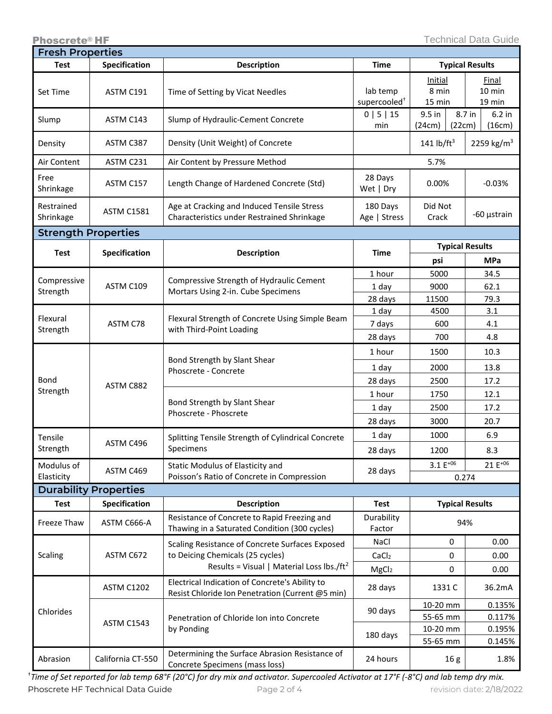| <b>Fresh Properties</b>      |                      |                                                                                                                                              |                                      |                            |                              |
|------------------------------|----------------------|----------------------------------------------------------------------------------------------------------------------------------------------|--------------------------------------|----------------------------|------------------------------|
| Test                         | <b>Specification</b> | <b>Description</b>                                                                                                                           | Time                                 | <b>Typical Results</b>     |                              |
| Set Time                     | ASTM C191            | Time of Setting by Vicat Needles                                                                                                             | lab temp<br>supercooled <sup>+</sup> | Initial<br>8 min<br>15 min | Final<br>10 min<br>19 min    |
| Slump                        | ASTM C143            | Slump of Hydraulic-Cement Concrete                                                                                                           | 0   5   15<br>min                    | 9.5 in<br>(22cm)<br>(24cm) | 8.7 in<br>$6.2$ in<br>(16cm) |
| Density                      | ASTM C387            | Density (Unit Weight) of Concrete                                                                                                            |                                      | 141 lb/ $ft^3$             | 2259 kg/m <sup>3</sup>       |
| Air Content                  | ASTM C231            | Air Content by Pressure Method                                                                                                               |                                      | 5.7%                       |                              |
| Free<br>Shrinkage            | ASTM C157            | Length Change of Hardened Concrete (Std)                                                                                                     | 28 Days<br>Wet   Dry                 | 0.00%                      | $-0.03%$                     |
| Restrained<br>Shrinkage      | <b>ASTM C1581</b>    | Age at Cracking and Induced Tensile Stress<br>Characteristics under Restrained Shrinkage                                                     | 180 Days<br>Age   Stress             | Did Not<br>Crack           | -60 µstrain                  |
| <b>Strength Properties</b>   |                      |                                                                                                                                              |                                      |                            |                              |
| <b>Test</b>                  | Specification        | <b>Description</b>                                                                                                                           | <b>Time</b>                          | <b>Typical Results</b>     |                              |
|                              |                      |                                                                                                                                              |                                      | psi                        | <b>MPa</b>                   |
| Compressive<br>Strength      | ASTM C109            | Compressive Strength of Hydraulic Cement<br>Mortars Using 2-in. Cube Specimens                                                               | 1 hour                               | 5000                       | 34.5                         |
|                              |                      |                                                                                                                                              | 1 day                                | 9000                       | 62.1                         |
|                              |                      |                                                                                                                                              | 28 days                              | 11500                      | 79.3                         |
| Flexural<br>Strength         | ASTM C78             | Flexural Strength of Concrete Using Simple Beam<br>with Third-Point Loading                                                                  | 1 day                                | 4500                       | 3.1                          |
|                              |                      |                                                                                                                                              | 7 days                               | 600                        | 4.1                          |
|                              |                      |                                                                                                                                              | 28 days                              | 700                        | 4.8                          |
| Bond<br>Strength             | ASTM C882            | Bond Strength by Slant Shear<br>Phoscrete - Concrete                                                                                         | 1 hour                               | 1500                       | 10.3                         |
|                              |                      |                                                                                                                                              | 1 day                                | 2000                       | 13.8                         |
|                              |                      |                                                                                                                                              | 28 days                              | 2500                       | 17.2                         |
|                              |                      | Bond Strength by Slant Shear<br>Phoscrete - Phoscrete                                                                                        | 1 hour                               | 1750                       | 12.1                         |
|                              |                      |                                                                                                                                              | 1 day                                | 2500                       | 17.2                         |
|                              |                      |                                                                                                                                              | 28 days                              | 3000                       | 20.7                         |
| Tensile<br>Strength          | ASTM C496            | Splitting Tensile Strength of Cylindrical Concrete<br>Specimens                                                                              | 1 day                                | 1000                       | 6.9                          |
|                              |                      |                                                                                                                                              | 28 days                              | 1200                       | 8.3                          |
| Modulus of                   | ASTM C469            | Static Modulus of Elasticity and                                                                                                             | 28 days                              | $3.1 E^{+06}$              | 21 E <sup>+06</sup>          |
| Elasticity                   |                      | Poisson's Ratio of Concrete in Compression                                                                                                   |                                      | 0.274                      |                              |
| <b>Durability Properties</b> |                      |                                                                                                                                              |                                      |                            |                              |
| <b>Test</b>                  | <b>Specification</b> | <b>Description</b>                                                                                                                           | <b>Test</b>                          | <b>Typical Results</b>     |                              |
| Freeze Thaw                  | ASTM C666-A          | Resistance of Concrete to Rapid Freezing and<br>Thawing in a Saturated Condition (300 cycles)                                                | Durability<br>Factor                 | 94%                        |                              |
| Scaling                      | ASTM C672            | Scaling Resistance of Concrete Surfaces Exposed<br>to Deicing Chemicals (25 cycles)<br>Results = Visual   Material Loss lbs./ft <sup>2</sup> | NaCl                                 | 0                          | 0.00                         |
|                              |                      |                                                                                                                                              | CaCl <sub>2</sub>                    | 0                          | 0.00                         |
|                              |                      |                                                                                                                                              | MgCl <sub>2</sub>                    | 0                          | 0.00                         |
| Chlorides                    | <b>ASTM C1202</b>    | Electrical Indication of Concrete's Ability to<br>Resist Chloride Ion Penetration (Current @5 min)                                           | 28 days                              | 1331 C                     | 36.2mA                       |
|                              | ASTM C1543           | Penetration of Chloride Ion into Concrete<br>by Ponding                                                                                      | 90 days                              | 10-20 mm                   | 0.135%                       |
|                              |                      |                                                                                                                                              | 180 days                             | 55-65 mm                   | 0.117%                       |
|                              |                      |                                                                                                                                              |                                      | 10-20 mm<br>55-65 mm       | 0.195%<br>0.145%             |
| Abrasion                     | California CT-550    | Determining the Surface Abrasion Resistance of<br>Concrete Specimens (mass loss)                                                             | 24 hours                             | 16g                        | 1.8%                         |

Phoscrete HF Technical Data Guide Page 2 of 4 revision date: 2/18/2022 †*Time of Set reported for lab temp 68°F (20°C) for dry mix and activator. Supercooled Activator at 17°F (-8°C) and lab temp dry mix.*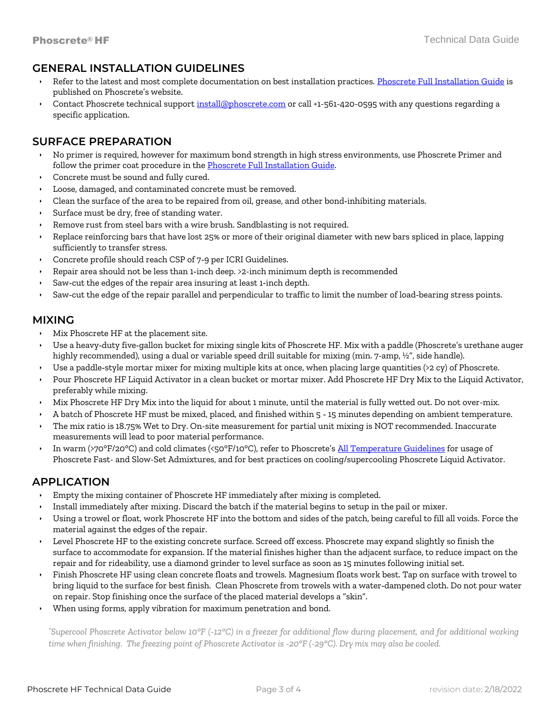## **GENERAL INSTALLATION GUIDELINES**

- Refer to the latest and most complete documentation on best installation practices. [Phoscrete Full Installation Guide](https://www.phoscrete.com/installation-guides/) is published on Phoscrete's website.
- Contact Phoscrete technical support [install@phoscrete.com](mailto:install@phoscrete.com) or call +1-561-420-0595 with any questions regarding a specific application.

## **SURFACE PREPARATION**

- No primer is required, however for maximum bond strength in high stress environments, use Phoscrete Primer and follow the primer coat procedure in the **Phoscrete Full Installation Guide**.
- Concrete must be sound and fully cured.
- Loose, damaged, and contaminated concrete must be removed.
- Clean the surface of the area to be repaired from oil, grease, and other bond‐inhibiting materials.
- Surface must be dry, free of standing water.
- Remove rust from steel bars with a wire brush. Sandblasting is not required.
- Replace reinforcing bars that have lost 25% or more of their original diameter with new bars spliced in place, lapping sufficiently to transfer stress.
- Concrete profile should reach CSP of 7‐9 per ICRI Guidelines.
- Repair area should not be less than 1‐inch deep. >2-inch minimum depth is recommended
- Saw‐cut the edges of the repair area insuring at least 1‐inch depth.
- Saw-cut the edge of the repair parallel and perpendicular to traffic to limit the number of load-bearing stress points.

## **MIXING**

- Mix Phoscrete HF at the placement site.
- Use a heavy‐duty five‐gallon bucket for mixing single kits of Phoscrete HF. Mix with a paddle (Phoscrete's urethane auger highly recommended), using a dual or variable speed drill suitable for mixing (min. 7-amp, ½", side handle).
- Use a paddle‐style mortar mixer for mixing multiple kits at once, when placing large quantities (>2 cy) of Phoscrete.
- Pour Phoscrete HF Liquid Activator in a clean bucket or mortar mixer. Add Phoscrete HF Dry Mix to the Liquid Activator, preferably while mixing.
- Mix Phoscrete HF Dry Mix into the liquid for about 1 minute, until the material is fully wetted out. Do not over-mix.
- A batch of Phoscrete HF must be mixed, placed, and finished within 5 ‐ 15 minutes depending on ambient temperature.
- The mix ratio is 18.75% Wet to Dry. On-site measurement for partial unit mixing is NOT recommended. Inaccurate measurements will lead to poor material performance.
- In warm (>70°F/20°C) and cold climates (<50°F/10°C), refer to Phoscrete's [All Temperature Guidelines](https://www.phoscrete.com/wp-content/uploads/Installation-Guides/phoscrete-best-practices-all-temperature-concrete-repair-guidelines.pdf) for usage of Phoscrete Fast- and Slow-Set Admixtures, and for best practices on cooling/supercooling Phoscrete Liquid Activator.

# **APPLICATION**

- Empty the mixing container of Phoscrete HF immediately after mixing is completed.
- Install immediately after mixing. Discard the batch if the material begins to setup in the pail or mixer.
- Using a trowel or float, work Phoscrete HF into the bottom and sides of the patch, being careful to fill all voids. Force the material against the edges of the repair.
- Level Phoscrete HF to the existing concrete surface. Screed off excess. Phoscrete may expand slightly so finish the surface to accommodate for expansion. If the material finishes higher than the adjacent surface, to reduce impact on the repair and for rideability, use a diamond grinder to level surface as soon as 15 minutes following initial set.
- Finish Phoscrete HF using clean concrete floats and trowels. Magnesium floats work best. Tap on surface with trowel to bring liquid to the surface for best finish. Clean Phoscrete from trowels with a water‐dampened cloth. Do not pour water on repair. Stop finishing once the surface of the placed material develops a "skin".
- When using forms, apply vibration for maximum penetration and bond.

\**Supercool Phoscrete Activator below 10°F (-12°C) in a freezer for additional flow during placement, and for additional working time when finishing. The freezing point of Phoscrete Activator is -20°F (-29°C). Dry mix may also be cooled.*